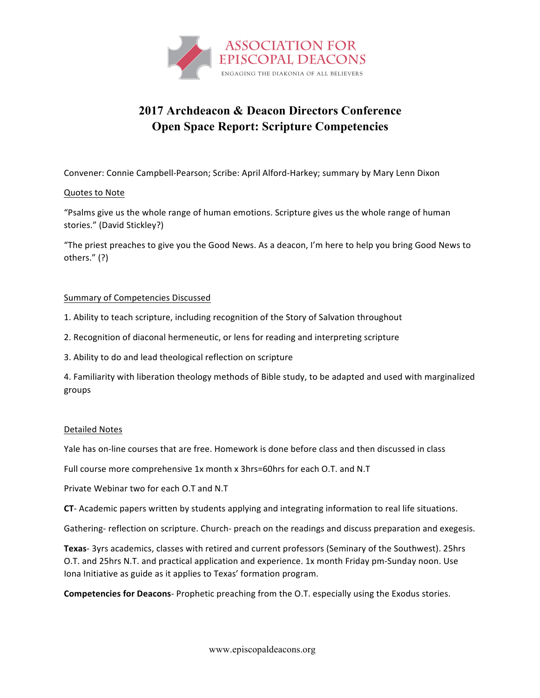

## **2017 Archdeacon & Deacon Directors Conference Open Space Report: Scripture Competencies**

Convener: Connie Campbell-Pearson; Scribe: April Alford-Harkey; summary by Mary Lenn Dixon

## Quotes to Note

"Psalms give us the whole range of human emotions. Scripture gives us the whole range of human stories." (David Stickley?)

"The priest preaches to give you the Good News. As a deacon, I'm here to help you bring Good News to others." (?)

## Summary of Competencies Discussed

- 1. Ability to teach scripture, including recognition of the Story of Salvation throughout
- 2. Recognition of diaconal hermeneutic, or lens for reading and interpreting scripture
- 3. Ability to do and lead theological reflection on scripture

4. Familiarity with liberation theology methods of Bible study, to be adapted and used with marginalized groups

## Detailed Notes

Yale has on-line courses that are free. Homework is done before class and then discussed in class

Full course more comprehensive 1x month x 3hrs=60hrs for each O.T. and N.T

Private Webinar two for each O.T and N.T

CT- Academic papers written by students applying and integrating information to real life situations.

Gathering- reflection on scripture. Church- preach on the readings and discuss preparation and exegesis.

Texas- 3yrs academics, classes with retired and current professors (Seminary of the Southwest). 25hrs O.T. and 25hrs N.T. and practical application and experience. 1x month Friday pm-Sunday noon. Use Iona Initiative as guide as it applies to Texas' formation program.

**Competencies for Deacons-** Prophetic preaching from the O.T. especially using the Exodus stories.